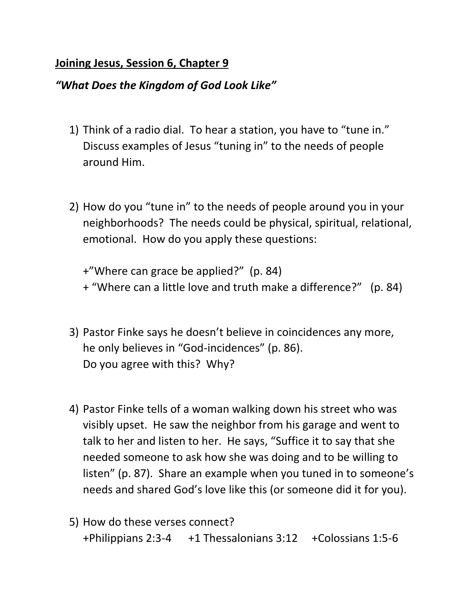## **Joining Jesus, Session 6, Chapter 9**

## *"What Does the Kingdom of God Look Like"*

- 1) Think of a radio dial. To hear a station, you have to "tune in." Discuss examples of Jesus "tuning in" to the needs of people around Him.
- 2) How do you "tune in" to the needs of people around you in your neighborhoods? The needs could be physical, spiritual, relational, emotional. How do you apply these questions:

+"Where can grace be applied?" (p. 84) + "Where can a little love and truth make a difference?" (p. 84)

- 3) Pastor Finke says he doesn't believe in coincidences any more, he only believes in "God-incidences" (p. 86). Do you agree with this? Why?
- 4) Pastor Finke tells of a woman walking down his street who was visibly upset. He saw the neighbor from his garage and went to talk to her and listen to her. He says, "Suffice it to say that she needed someone to ask how she was doing and to be willing to listen" (p. 87). Share an example when you tuned in to someone's needs and shared God's love like this (or someone did it for you).
- 5) How do these verses connect? +Philippians 2:3-4 +1 Thessalonians 3:12 +Colossians 1:5-6